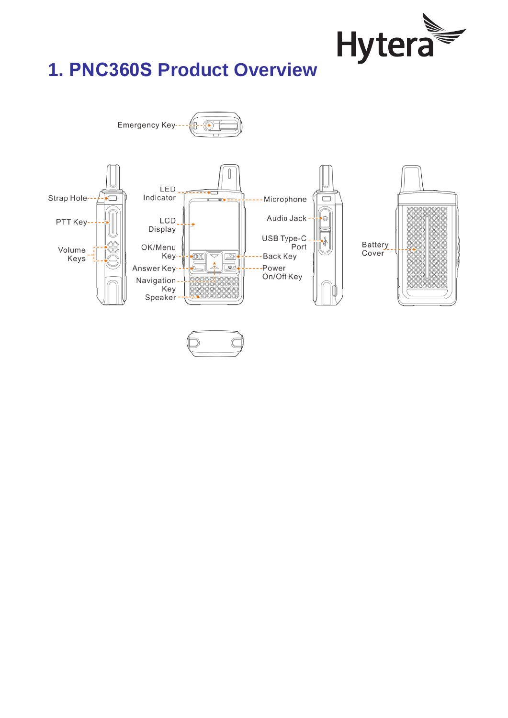

# **1. PNC360S Product Overview**

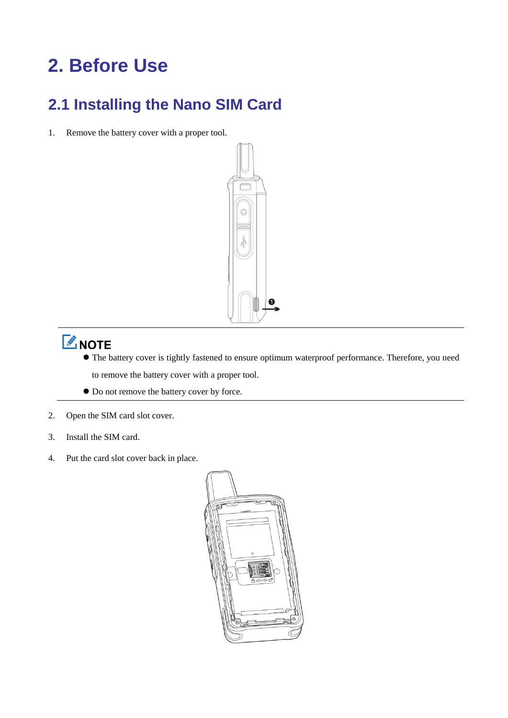# **2. Before Use**

### **2.1 Installing the Nano SIM Card**

1. Remove the battery cover with a proper tool.



# **ZNOTE**

- The battery cover is tightly fastened to ensure optimum waterproof performance. Therefore, you need
	- to remove the battery cover with a proper tool.
- $\bullet$  Do not remove the battery cover by force.
- 2. Open the SIM card slot cover.
- 3. Install the SIM card.
- 4. Put the card slot cover back in place.

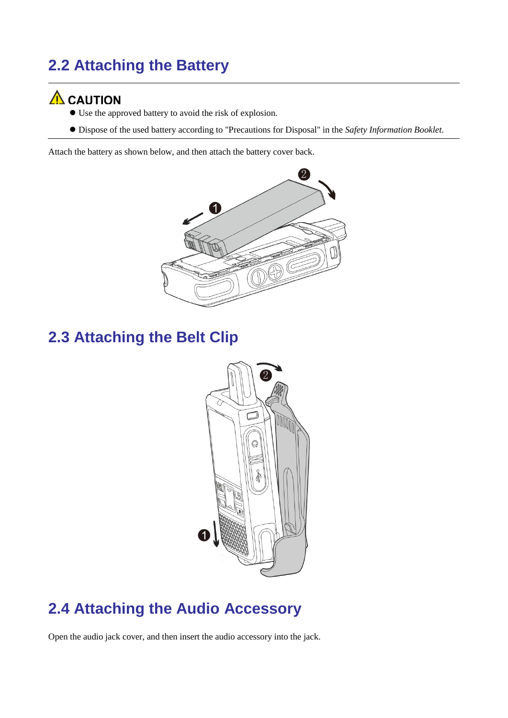## **2.2 Attaching the Battery**

#### $\Lambda$  CAUTION

- Use the approved battery to avoid the risk of explosion.
- Dispose of the used battery according to "Precautions for Disposal" in the *Safety Information Booklet*.

Attach the battery as shown below, and then attach the battery cover back.



### **2.3 Attaching the Belt Clip**



#### **2.4 Attaching the Audio Accessory**

Open the audio jack cover, and then insert the audio accessory into the jack.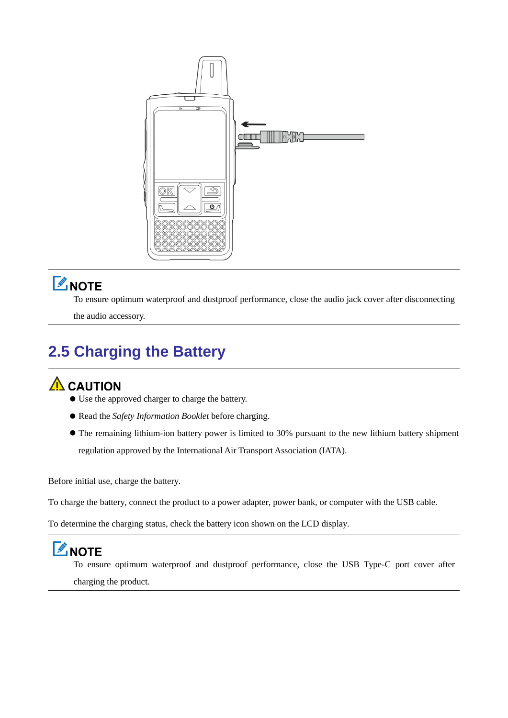

## **ZNOTE**

To ensure optimum waterproof and dustproof performance, close the audio jack cover after disconnecting

the audio accessory.

## **2.5 Charging the Battery**

### $\Lambda$  CAUTION

- Use the approved charger to charge the battery.
- Read the *Safety Information Booklet* before charging.
- The remaining lithium-ion battery power is limited to 30% pursuant to the new lithium battery shipment regulation approved by the International Air Transport Association (IATA).

Before initial use, charge the battery.

To charge the battery, connect the product to a power adapter, power bank, or computer with the USB cable.

To determine the charging status, check the battery icon shown on the LCD display.

## **ZNOTE**

To ensure optimum waterproof and dustproof performance, close the USB Type-C port cover after charging the product.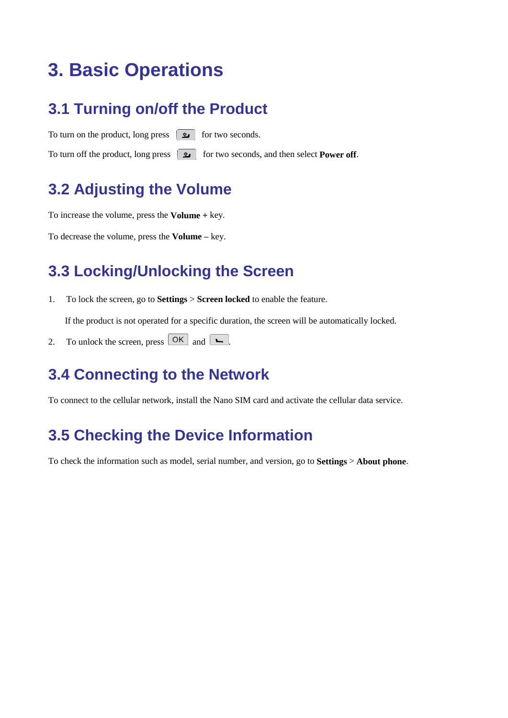# **3. Basic Operations**

#### **3.1 Turning on/off the Product**

To turn on the product, long press  $\Box$  for two seconds. To turn off the product, long press  $\Box$  for two seconds, and then select **Power off**.

### **3.2 Adjusting the Volume**

To increase the volume, press the **Volume +** key.

To decrease the volume, press the **Volume –** key.

#### **3.3 Locking/Unlocking the Screen**

1. To lock the screen, go to **Settings** > **Screen locked** to enable the feature.

If the product is not operated for a specific duration, the screen will be automatically locked.

2. To unlock the screen, press  $\overline{\mathsf{OK}}$  and  $\overline{\mathsf{L}}$ .

#### **3.4 Connecting to the Network**

To connect to the cellular network, install the Nano SIM card and activate the cellular data service.

### **3.5 Checking the Device Information**

To check the information such as model, serial number, and version, go to **Settings** > **About phone**.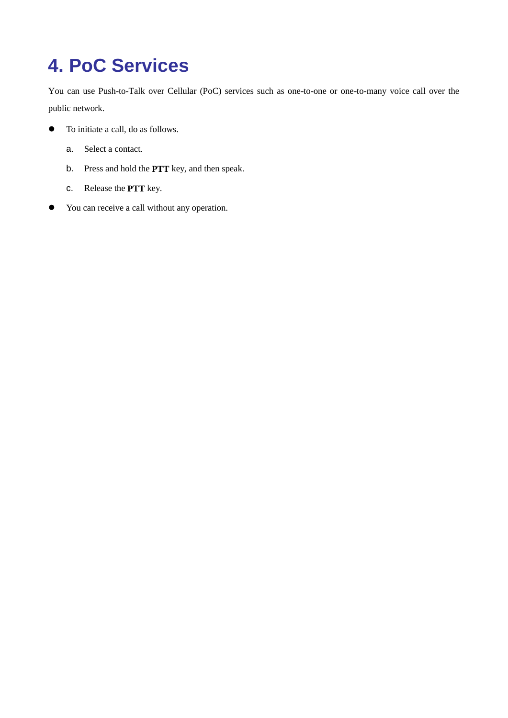# **4. PoC Services**

You can use Push-to-Talk over Cellular (PoC) services such as one-to-one or one-to-many voice call over the public network.

- To initiate a call, do as follows.
	- a. Select a contact.
	- b. Press and hold the **PTT** key, and then speak.
	- c. Release the **PTT** key.
- You can receive a call without any operation.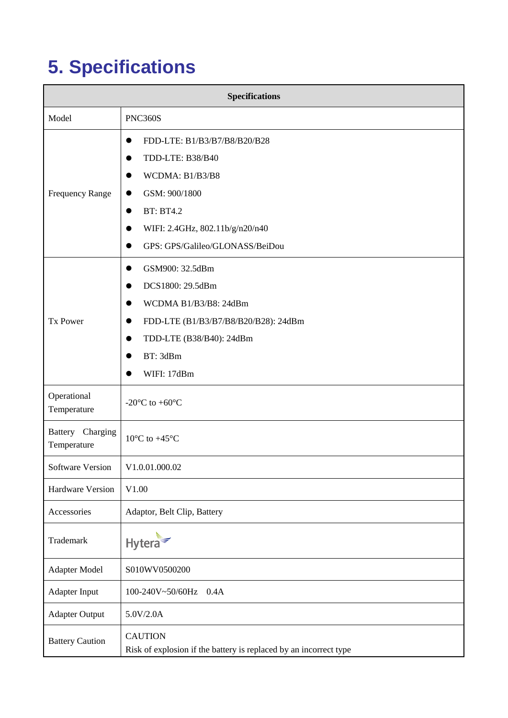# **5. Specifications**

| <b>Specifications</b>           |                                                                                                                                                                                             |
|---------------------------------|---------------------------------------------------------------------------------------------------------------------------------------------------------------------------------------------|
| Model                           | <b>PNC360S</b>                                                                                                                                                                              |
| <b>Frequency Range</b>          | FDD-LTE: B1/B3/B7/B8/B20/B28<br>TDD-LTE: B38/B40<br>WCDMA: B1/B3/B8<br>GSM: 900/1800<br><b>BT: BT4.2</b><br>$\bullet$<br>WIFI: 2.4GHz, 802.11b/g/n20/n40<br>GPS: GPS/Galileo/GLONASS/BeiDou |
| <b>Tx Power</b>                 | GSM900: 32.5dBm<br>DCS1800: 29.5dBm<br>WCDMA B1/B3/B8: 24dBm<br>FDD-LTE (B1/B3/B7/B8/B20/B28): 24dBm<br>TDD-LTE (B38/B40): 24dBm<br>BT: 3dBm<br>WIFI: 17dBm                                 |
| Operational<br>Temperature      | -20 $\mathbb{C}$ to +60 $\mathbb{C}$                                                                                                                                                        |
| Battery Charging<br>Temperature | $10 \text{ C}$ to +45 $\text{C}$                                                                                                                                                            |
| Software Version                | V1.0.01.000.02                                                                                                                                                                              |
| <b>Hardware Version</b>         | V1.00                                                                                                                                                                                       |
| Accessories                     | Adaptor, Belt Clip, Battery                                                                                                                                                                 |
| Trademark                       | Hytera                                                                                                                                                                                      |
| <b>Adapter Model</b>            | S010WV0500200                                                                                                                                                                               |
| <b>Adapter Input</b>            | 100-240V~50/60Hz<br>0.4A                                                                                                                                                                    |
| <b>Adapter Output</b>           | 5.0V/2.0A                                                                                                                                                                                   |
| <b>Battery Caution</b>          | <b>CAUTION</b><br>Risk of explosion if the battery is replaced by an incorrect type                                                                                                         |